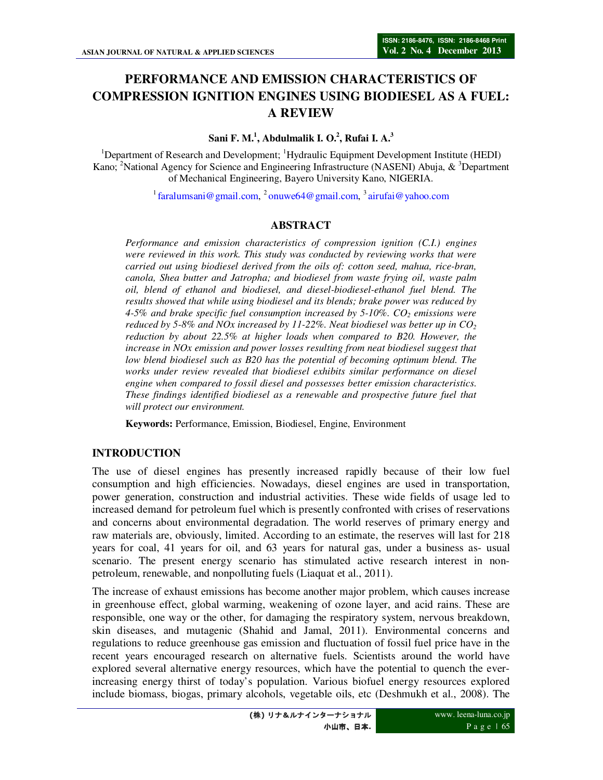# **PERFORMANCE AND EMISSION CHARACTERISTICS OF COMPRESSION IGNITION ENGINES USING BIODIESEL AS A FUEL: A REVIEW**

#### **Sani F. M.<sup>1</sup> , Abdulmalik I. O.<sup>2</sup> , Rufai I. A.<sup>3</sup>**

<sup>1</sup>Department of Research and Development; <sup>1</sup>Hydraulic Equipment Development Institute (HEDI) Kano; <sup>2</sup>National Agency for Science and Engineering Infrastructure (NASENI) Abuja, & <sup>3</sup>Department of Mechanical Engineering, Bayero University Kano, NIGERIA.

<sup>1</sup> faralumsani@gmail.com, <sup>2</sup> onuwe64@gmail.com, <sup>3</sup> airufai@yahoo.com

## **ABSTRACT**

*Performance and emission characteristics of compression ignition (C.I.) engines were reviewed in this work. This study was conducted by reviewing works that were carried out using biodiesel derived from the oils of: cotton seed, mahua, rice-bran, canola, Shea butter and Jatropha; and biodiesel from waste frying oil, waste palm oil, blend of ethanol and biodiesel, and diesel-biodiesel-ethanol fuel blend. The results showed that while using biodiesel and its blends; brake power was reduced by 4-5% and brake specific fuel consumption increased by 5-10%. CO2 emissions were reduced by 5-8% and NOx increased by 11-22%. Neat biodiesel was better up in CO<sup>2</sup> reduction by about 22.5% at higher loads when compared to B20. However, the increase in NOx emission and power losses resulting from neat biodiesel suggest that low blend biodiesel such as B20 has the potential of becoming optimum blend. The works under review revealed that biodiesel exhibits similar performance on diesel engine when compared to fossil diesel and possesses better emission characteristics. These findings identified biodiesel as a renewable and prospective future fuel that will protect our environment.*

**Keywords:** Performance, Emission, Biodiesel, Engine, Environment

#### **INTRODUCTION**

The use of diesel engines has presently increased rapidly because of their low fuel consumption and high efficiencies. Nowadays, diesel engines are used in transportation, power generation, construction and industrial activities. These wide fields of usage led to increased demand for petroleum fuel which is presently confronted with crises of reservations and concerns about environmental degradation. The world reserves of primary energy and raw materials are, obviously, limited. According to an estimate, the reserves will last for 218 years for coal, 41 years for oil, and 63 years for natural gas, under a business as- usual scenario. The present energy scenario has stimulated active research interest in nonpetroleum, renewable, and nonpolluting fuels (Liaquat et al., 2011).

The increase of exhaust emissions has become another major problem, which causes increase in greenhouse effect, global warming, weakening of ozone layer, and acid rains. These are responsible, one way or the other, for damaging the respiratory system, nervous breakdown, skin diseases, and mutagenic (Shahid and Jamal, 2011). Environmental concerns and regulations to reduce greenhouse gas emission and fluctuation of fossil fuel price have in the recent years encouraged research on alternative fuels. Scientists around the world have explored several alternative energy resources, which have the potential to quench the everincreasing energy thirst of today's population. Various biofuel energy resources explored include biomass, biogas, primary alcohols, vegetable oils, etc (Deshmukh et al., 2008). The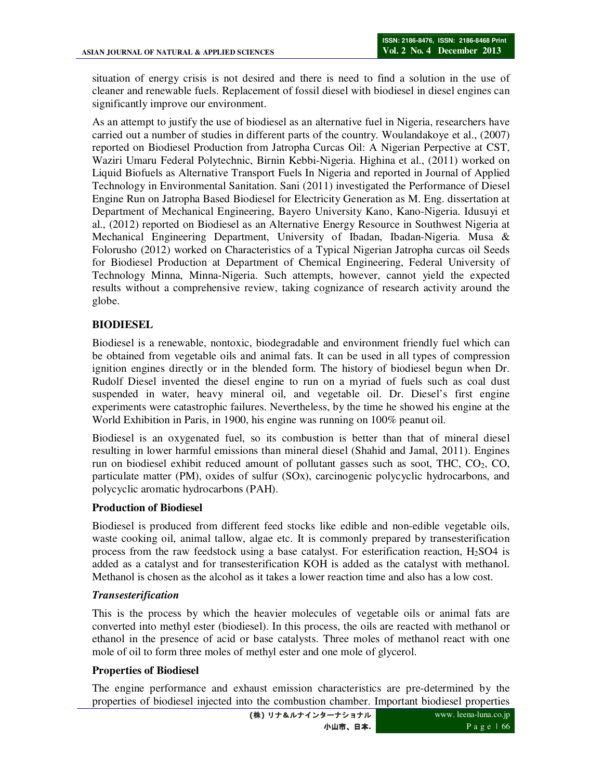situation of energy crisis is not desired and there is need to find a solution in the use of cleaner and renewable fuels. Replacement of fossil diesel with biodiesel in diesel engines can significantly improve our environment.

As an attempt to justify the use of biodiesel as an alternative fuel in Nigeria, researchers have carried out a number of studies in different parts of the country. Woulandakoye et al., (2007) reported on Biodiesel Production from Jatropha Curcas Oil: A Nigerian Perpective at CST, Waziri Umaru Federal Polytechnic, Birnin Kebbi-Nigeria. Highina et al., (2011) worked on Liquid Biofuels as Alternative Transport Fuels In Nigeria and reported in Journal of Applied Technology in Environmental Sanitation. Sani (2011) investigated the Performance of Diesel Engine Run on Jatropha Based Biodiesel for Electricity Generation as M. Eng. dissertation at Department of Mechanical Engineering, Bayero University Kano, Kano-Nigeria. Idusuyi et al., (2012) reported on Biodiesel as an Alternative Energy Resource in Southwest Nigeria at Mechanical Engineering Department, University of Ibadan, Ibadan-Nigeria. Musa & Folorusho (2012) worked on Characteristics of a Typical Nigerian Jatropha curcas oil Seeds for Biodiesel Production at Department of Chemical Engineering, Federal University of Technology Minna, Minna-Nigeria. Such attempts, however, cannot yield the expected results without a comprehensive review, taking cognizance of research activity around the globe.

# **BIODIESEL**

Biodiesel is a renewable, nontoxic, biodegradable and environment friendly fuel which can be obtained from vegetable oils and animal fats. It can be used in all types of compression ignition engines directly or in the blended form. The history of biodiesel begun when Dr. Rudolf Diesel invented the diesel engine to run on a myriad of fuels such as coal dust suspended in water, heavy mineral oil, and vegetable oil. Dr. Diesel's first engine experiments were catastrophic failures. Nevertheless, by the time he showed his engine at the World Exhibition in Paris, in 1900, his engine was running on 100% peanut oil.

Biodiesel is an oxygenated fuel, so its combustion is better than that of mineral diesel resulting in lower harmful emissions than mineral diesel (Shahid and Jamal, 2011). Engines run on biodiesel exhibit reduced amount of pollutant gasses such as soot, THC, CO2, CO, particulate matter (PM), oxides of sulfur (SOx), carcinogenic polycyclic hydrocarbons, and polycyclic aromatic hydrocarbons (PAH).

#### **Production of Biodiesel**

Biodiesel is produced from different feed stocks like edible and non-edible vegetable oils, waste cooking oil, animal tallow, algae etc. It is commonly prepared by transesterification process from the raw feedstock using a base catalyst. For esterification reaction,  $H_2SO4$  is added as a catalyst and for transesterification KOH is added as the catalyst with methanol. Methanol is chosen as the alcohol as it takes a lower reaction time and also has a low cost.

#### *Transesterification*

This is the process by which the heavier molecules of vegetable oils or animal fats are converted into methyl ester (biodiesel). In this process, the oils are reacted with methanol or ethanol in the presence of acid or base catalysts. Three moles of methanol react with one mole of oil to form three moles of methyl ester and one mole of glycerol.

#### **Properties of Biodiesel**

The engine performance and exhaust emission characteristics are pre-determined by the properties of biodiesel injected into the combustion chamber. Important biodiesel properties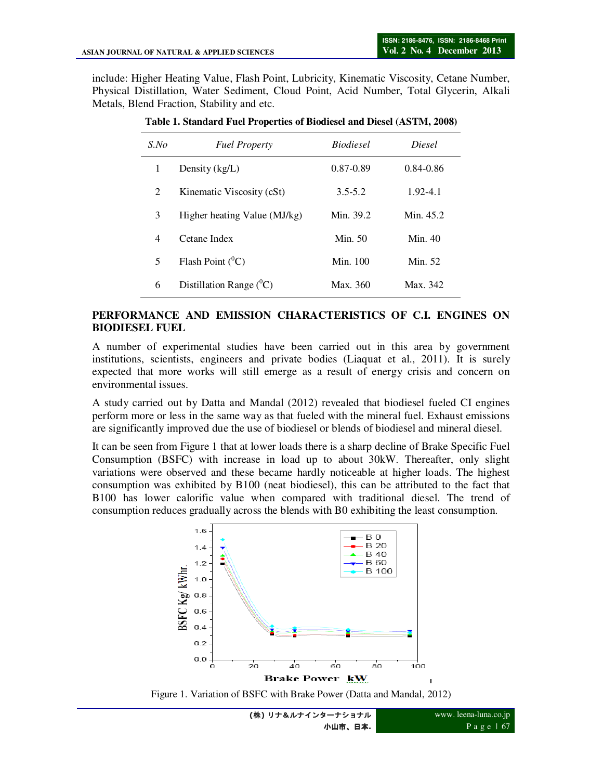include: Higher Heating Value, Flash Point, Lubricity, Kinematic Viscosity, Cetane Number, Physical Distillation, Water Sediment, Cloud Point, Acid Number, Total Glycerin, Alkali Metals, Blend Fraction, Stability and etc.

| S.No           | <b>Fuel Property</b>         | <b>Biodiesel</b> | Diesel        |
|----------------|------------------------------|------------------|---------------|
| 1              | Density $(kg/L)$             | 0.87-0.89        | $0.84 - 0.86$ |
| $\overline{c}$ | Kinematic Viscosity (cSt)    | $3.5 - 5.2$      | 1.92-4.1      |
| 3              | Higher heating Value (MJ/kg) | Min. 39.2        | Min. 45.2     |
| 4              | Cetane Index                 | Min. 50          | Min. $40$     |
| 5              | Flash Point $(^0C)$          | Min. 100         | Min. 52       |
| 6              | Distillation Range $(^0C)$   | Max. 360         | Max. 342      |

**Table 1. Standard Fuel Properties of Biodiesel and Diesel (ASTM, 2008)** 

#### **PERFORMANCE AND EMISSION CHARACTERISTICS OF C.I. ENGINES ON BIODIESEL FUEL**

A number of experimental studies have been carried out in this area by government institutions, scientists, engineers and private bodies (Liaquat et al., 2011). It is surely expected that more works will still emerge as a result of energy crisis and concern on environmental issues.

A study carried out by Datta and Mandal (2012) revealed that biodiesel fueled CI engines perform more or less in the same way as that fueled with the mineral fuel. Exhaust emissions are significantly improved due the use of biodiesel or blends of biodiesel and mineral diesel.

It can be seen from Figure 1 that at lower loads there is a sharp decline of Brake Specific Fuel Consumption (BSFC) with increase in load up to about 30kW. Thereafter, only slight variations were observed and these became hardly noticeable at higher loads. The highest consumption was exhibited by B100 (neat biodiesel), this can be attributed to the fact that B100 has lower calorific value when compared with traditional diesel. The trend of consumption reduces gradually across the blends with B0 exhibiting the least consumption.



Figure 1. Variation of BSFC with Brake Power (Datta and Mandal, 2012)

www. leena-luna.co.jp P a g e | 67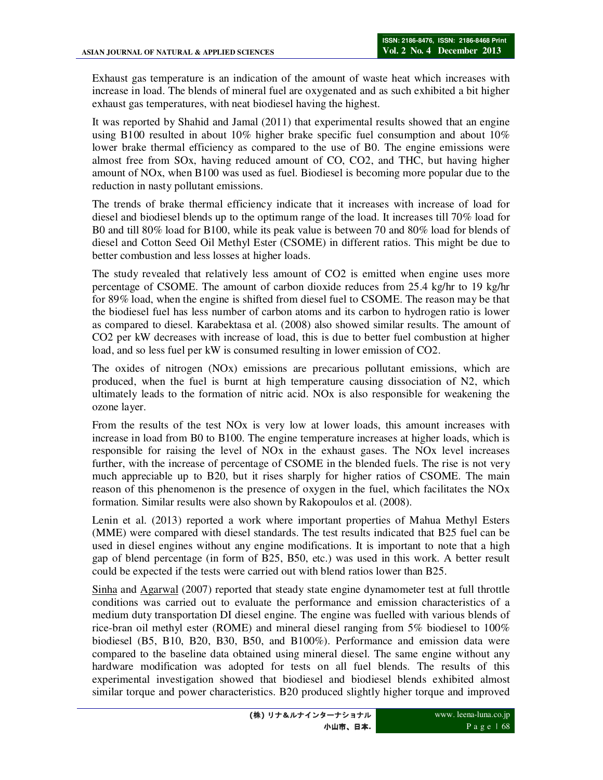Exhaust gas temperature is an indication of the amount of waste heat which increases with increase in load. The blends of mineral fuel are oxygenated and as such exhibited a bit higher exhaust gas temperatures, with neat biodiesel having the highest.

It was reported by Shahid and Jamal (2011) that experimental results showed that an engine using B100 resulted in about 10% higher brake specific fuel consumption and about 10% lower brake thermal efficiency as compared to the use of B0. The engine emissions were almost free from SOx, having reduced amount of CO, CO2, and THC, but having higher amount of NOx, when B100 was used as fuel. Biodiesel is becoming more popular due to the reduction in nasty pollutant emissions.

The trends of brake thermal efficiency indicate that it increases with increase of load for diesel and biodiesel blends up to the optimum range of the load. It increases till 70% load for B0 and till 80% load for B100, while its peak value is between 70 and 80% load for blends of diesel and Cotton Seed Oil Methyl Ester (CSOME) in different ratios. This might be due to better combustion and less losses at higher loads.

The study revealed that relatively less amount of CO2 is emitted when engine uses more percentage of CSOME. The amount of carbon dioxide reduces from 25.4 kg/hr to 19 kg/hr for 89% load, when the engine is shifted from diesel fuel to CSOME. The reason may be that the biodiesel fuel has less number of carbon atoms and its carbon to hydrogen ratio is lower as compared to diesel. Karabektasa et al. (2008) also showed similar results. The amount of CO2 per kW decreases with increase of load, this is due to better fuel combustion at higher load, and so less fuel per kW is consumed resulting in lower emission of CO2.

The oxides of nitrogen (NOx) emissions are precarious pollutant emissions, which are produced, when the fuel is burnt at high temperature causing dissociation of N2, which ultimately leads to the formation of nitric acid. NOx is also responsible for weakening the ozone layer.

From the results of the test NOx is very low at lower loads, this amount increases with increase in load from B0 to B100. The engine temperature increases at higher loads, which is responsible for raising the level of NOx in the exhaust gases. The NOx level increases further, with the increase of percentage of CSOME in the blended fuels. The rise is not very much appreciable up to B20, but it rises sharply for higher ratios of CSOME. The main reason of this phenomenon is the presence of oxygen in the fuel, which facilitates the NOx formation. Similar results were also shown by Rakopoulos et al. (2008).

Lenin et al. (2013) reported a work where important properties of Mahua Methyl Esters (MME) were compared with diesel standards. The test results indicated that B25 fuel can be used in diesel engines without any engine modifications. It is important to note that a high gap of blend percentage (in form of B25, B50, etc.) was used in this work. A better result could be expected if the tests were carried out with blend ratios lower than B25.

Sinha and Agarwal (2007) reported that steady state engine dynamometer test at full throttle conditions was carried out to evaluate the performance and emission characteristics of a medium duty transportation DI diesel engine. The engine was fuelled with various blends of rice-bran oil methyl ester (ROME) and mineral diesel ranging from 5% biodiesel to 100% biodiesel (B5, B10, B20, B30, B50, and B100%). Performance and emission data were compared to the baseline data obtained using mineral diesel. The same engine without any hardware modification was adopted for tests on all fuel blends. The results of this experimental investigation showed that biodiesel and biodiesel blends exhibited almost similar torque and power characteristics. B20 produced slightly higher torque and improved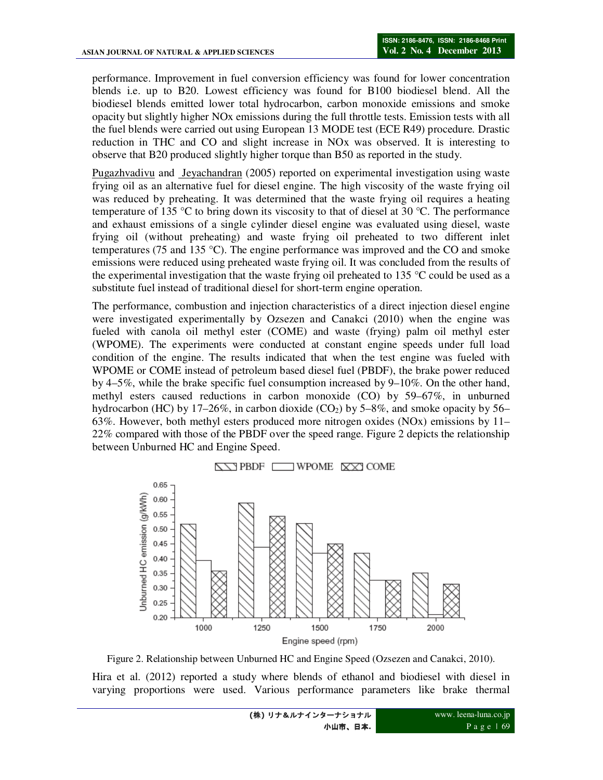performance. Improvement in fuel conversion efficiency was found for lower concentration blends i.e. up to B20. Lowest efficiency was found for B100 biodiesel blend. All the biodiesel blends emitted lower total hydrocarbon, carbon monoxide emissions and smoke opacity but slightly higher NOx emissions during the full throttle tests. Emission tests with all the fuel blends were carried out using European 13 MODE test (ECE R49) procedure. Drastic reduction in THC and CO and slight increase in NOx was observed. It is interesting to observe that B20 produced slightly higher torque than B50 as reported in the study.

Pugazhvadivu and Jeyachandran (2005) reported on experimental investigation using waste frying oil as an alternative fuel for diesel engine. The high viscosity of the waste frying oil was reduced by preheating. It was determined that the waste frying oil requires a heating temperature of 135  $\degree$ C to bring down its viscosity to that of diesel at 30  $\degree$ C. The performance and exhaust emissions of a single cylinder diesel engine was evaluated using diesel, waste frying oil (without preheating) and waste frying oil preheated to two different inlet temperatures (75 and 135  $^{\circ}$ C). The engine performance was improved and the CO and smoke emissions were reduced using preheated waste frying oil. It was concluded from the results of the experimental investigation that the waste frying oil preheated to 135  $\degree$ C could be used as a substitute fuel instead of traditional diesel for short-term engine operation.

The performance, combustion and injection characteristics of a direct injection diesel engine were investigated experimentally by Ozsezen and Canakci (2010) when the engine was fueled with canola oil methyl ester (COME) and waste (frying) palm oil methyl ester (WPOME). The experiments were conducted at constant engine speeds under full load condition of the engine. The results indicated that when the test engine was fueled with WPOME or COME instead of petroleum based diesel fuel (PBDF), the brake power reduced by 4–5%, while the brake specific fuel consumption increased by 9–10%. On the other hand, methyl esters caused reductions in carbon monoxide (CO) by 59–67%, in unburned hydrocarbon (HC) by 17–26%, in carbon dioxide (CO<sub>2</sub>) by 5–8%, and smoke opacity by 56– 63%. However, both methyl esters produced more nitrogen oxides (NOx) emissions by 11– 22% compared with those of the PBDF over the speed range. Figure 2 depicts the relationship between Unburned HC and Engine Speed.



Figure 2. Relationship between Unburned HC and Engine Speed (Ozsezen and Canakci, 2010).

Hira et al. (2012) reported a study where blends of ethanol and biodiesel with diesel in varying proportions were used. Various performance parameters like brake thermal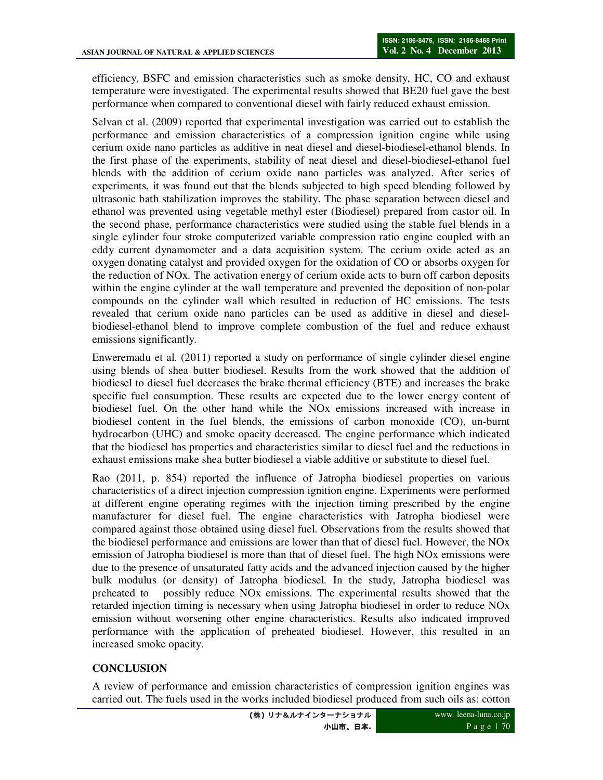efficiency, BSFC and emission characteristics such as smoke density, HC, CO and exhaust temperature were investigated. The experimental results showed that BE20 fuel gave the best performance when compared to conventional diesel with fairly reduced exhaust emission.

Selvan et al. (2009) reported that experimental investigation was carried out to establish the performance and emission characteristics of a compression ignition engine while using cerium oxide nano particles as additive in neat diesel and diesel-biodiesel-ethanol blends. In the first phase of the experiments, stability of neat diesel and diesel-biodiesel-ethanol fuel blends with the addition of cerium oxide nano particles was analyzed. After series of experiments, it was found out that the blends subjected to high speed blending followed by ultrasonic bath stabilization improves the stability. The phase separation between diesel and ethanol was prevented using vegetable methyl ester (Biodiesel) prepared from castor oil. In the second phase, performance characteristics were studied using the stable fuel blends in a single cylinder four stroke computerized variable compression ratio engine coupled with an eddy current dynamometer and a data acquisition system. The cerium oxide acted as an oxygen donating catalyst and provided oxygen for the oxidation of CO or absorbs oxygen for the reduction of NOx. The activation energy of cerium oxide acts to burn off carbon deposits within the engine cylinder at the wall temperature and prevented the deposition of non-polar compounds on the cylinder wall which resulted in reduction of HC emissions. The tests revealed that cerium oxide nano particles can be used as additive in diesel and dieselbiodiesel-ethanol blend to improve complete combustion of the fuel and reduce exhaust emissions significantly.

Enweremadu et al. (2011) reported a study on performance of single cylinder diesel engine using blends of shea butter biodiesel. Results from the work showed that the addition of biodiesel to diesel fuel decreases the brake thermal efficiency (BTE) and increases the brake specific fuel consumption. These results are expected due to the lower energy content of biodiesel fuel. On the other hand while the NOx emissions increased with increase in biodiesel content in the fuel blends, the emissions of carbon monoxide (CO), un-burnt hydrocarbon (UHC) and smoke opacity decreased. The engine performance which indicated that the biodiesel has properties and characteristics similar to diesel fuel and the reductions in exhaust emissions make shea butter biodiesel a viable additive or substitute to diesel fuel.

Rao (2011, p. 854) reported the influence of Jatropha biodiesel properties on various characteristics of a direct injection compression ignition engine. Experiments were performed at different engine operating regimes with the injection timing prescribed by the engine manufacturer for diesel fuel. The engine characteristics with Jatropha biodiesel were compared against those obtained using diesel fuel. Observations from the results showed that the biodiesel performance and emissions are lower than that of diesel fuel. However, the NOx emission of Jatropha biodiesel is more than that of diesel fuel. The high NOx emissions were due to the presence of unsaturated fatty acids and the advanced injection caused by the higher bulk modulus (or density) of Jatropha biodiesel. In the study, Jatropha biodiesel was preheated to possibly reduce NOx emissions. The experimental results showed that the retarded injection timing is necessary when using Jatropha biodiesel in order to reduce NOx emission without worsening other engine characteristics. Results also indicated improved performance with the application of preheated biodiesel. However, this resulted in an increased smoke opacity.

## **CONCLUSION**

A review of performance and emission characteristics of compression ignition engines was carried out. The fuels used in the works included biodiesel produced from such oils as: cotton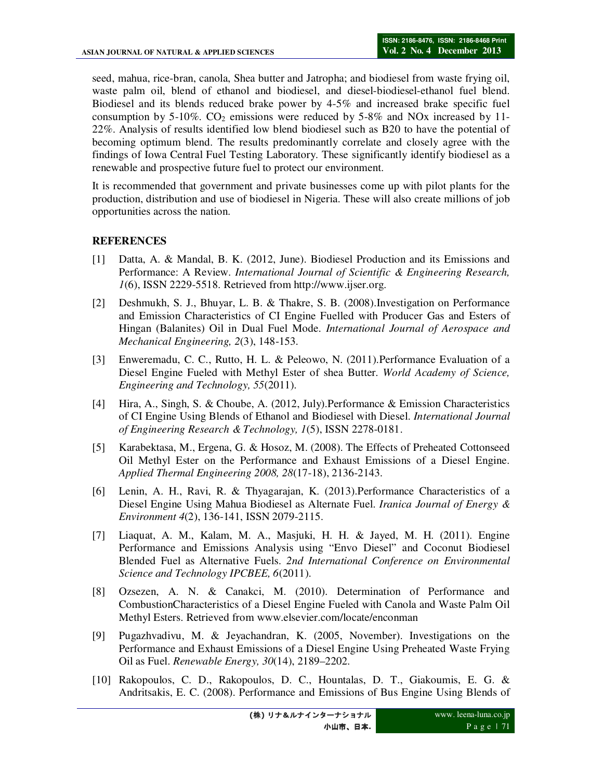seed, mahua, rice-bran, canola, Shea butter and Jatropha; and biodiesel from waste frying oil, waste palm oil, blend of ethanol and biodiesel, and diesel-biodiesel-ethanol fuel blend. Biodiesel and its blends reduced brake power by 4-5% and increased brake specific fuel consumption by 5-10%.  $CO<sub>2</sub>$  emissions were reduced by 5-8% and NOx increased by 11-22%. Analysis of results identified low blend biodiesel such as B20 to have the potential of becoming optimum blend. The results predominantly correlate and closely agree with the findings of Iowa Central Fuel Testing Laboratory. These significantly identify biodiesel as a renewable and prospective future fuel to protect our environment.

It is recommended that government and private businesses come up with pilot plants for the production, distribution and use of biodiesel in Nigeria. These will also create millions of job opportunities across the nation.

## **REFERENCES**

- [1] Datta, A. & Mandal, B. K. (2012, June). Biodiesel Production and its Emissions and Performance: A Review. *International Journal of Scientific & Engineering Research, 1*(6), ISSN 2229-5518. Retrieved from http://www.ijser.org.
- [2] Deshmukh, S. J., Bhuyar, L. B. & Thakre, S. B. (2008).Investigation on Performance and Emission Characteristics of CI Engine Fuelled with Producer Gas and Esters of Hingan (Balanites) Oil in Dual Fuel Mode. *International Journal of Aerospace and Mechanical Engineering, 2*(3), 148-153.
- [3] Enweremadu, C. C., Rutto, H. L. & Peleowo, N. (2011).Performance Evaluation of a Diesel Engine Fueled with Methyl Ester of shea Butter. *World Academy of Science, Engineering and Technology, 55*(2011).
- [4] Hira, A., Singh, S. & Choube, A. (2012, July).Performance & Emission Characteristics of CI Engine Using Blends of Ethanol and Biodiesel with Diesel. *International Journal of Engineering Research & Technology, 1*(5), ISSN 2278-0181.
- [5] Karabektasa, M., Ergena, G. & Hosoz, M. (2008). The Effects of Preheated Cottonseed Oil Methyl Ester on the Performance and Exhaust Emissions of a Diesel Engine. *Applied Thermal Engineering 2008, 28*(17-18), 2136-2143.
- [6] Lenin, A. H., Ravi, R. & Thyagarajan, K. (2013).Performance Characteristics of a Diesel Engine Using Mahua Biodiesel as Alternate Fuel. *Iranica Journal of Energy & Environment 4*(2), 136-141, ISSN 2079-2115.
- [7] Liaquat, A. M., Kalam, M. A., Masjuki, H. H. & Jayed, M. H. (2011). Engine Performance and Emissions Analysis using "Envo Diesel" and Coconut Biodiesel Blended Fuel as Alternative Fuels. *2nd International Conference on Environmental Science and Technology IPCBEE, 6*(2011).
- [8] Ozsezen, A. N. & Canakci, M. (2010). Determination of Performance and CombustionCharacteristics of a Diesel Engine Fueled with Canola and Waste Palm Oil Methyl Esters. Retrieved from www.elsevier.com/locate/enconman
- [9] Pugazhvadivu, M. & Jeyachandran, K. (2005, November). Investigations on the Performance and Exhaust Emissions of a Diesel Engine Using Preheated Waste Frying Oil as Fuel. *Renewable Energy, 30*(14), 2189–2202.
- [10] Rakopoulos, C. D., Rakopoulos, D. C., Hountalas, D. T., Giakoumis, E. G. & Andritsakis, E. C. (2008). Performance and Emissions of Bus Engine Using Blends of